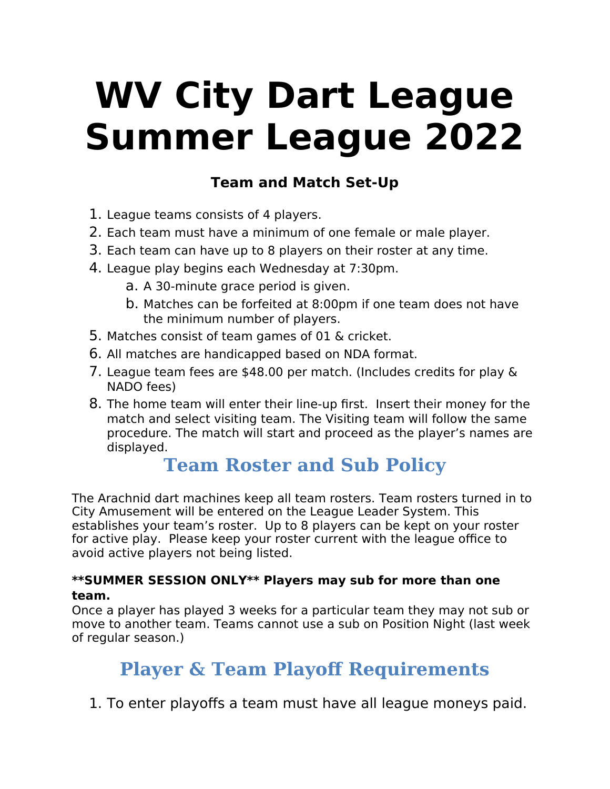# **WV City Dart League Summer League 2022**

## **Team and Match Set-Up**

- 1. League teams consists of 4 players.
- 2. Each team must have a minimum of one female or male player.
- 3. Each team can have up to 8 players on their roster at any time.
- 4. League play begins each Wednesday at 7:30pm.
	- a. A 30-minute grace period is given.
	- b. Matches can be forfeited at 8:00pm if one team does not have the minimum number of players.
- 5. Matches consist of team games of 01 & cricket.
- 6. All matches are handicapped based on NDA format.
- 7. League team fees are \$48.00 per match. (Includes credits for play & NADO fees)
- 8. The home team will enter their line-up first. Insert their money for the match and select visiting team. The Visiting team will follow the same procedure. The match will start and proceed as the player's names are displayed.

## **Team Roster and Sub Policy**

The Arachnid dart machines keep all team rosters. Team rosters turned in to City Amusement will be entered on the League Leader System. This establishes your team's roster. Up to 8 players can be kept on your roster for active play. Please keep your roster current with the league office to avoid active players not being listed.

#### **\*\*SUMMER SESSION ONLY\*\* Players may sub for more than one team.**

Once a player has played 3 weeks for a particular team they may not sub or move to another team. Teams cannot use a sub on Position Night (last week of regular season.)

# **Player & Team Playoff Requirements**

1. To enter playoffs a team must have all league moneys paid.